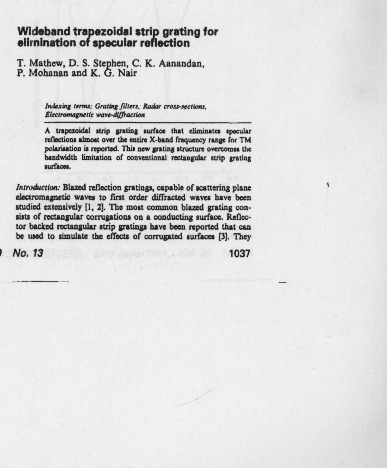## **Wideband trapezoidal strip grating for eliminat**i**on of specular reflection**

T. Mathew, D. S. Stephen, C. K. Aanandan,<br>P. Mohanan and K. G. Nair

Indexing terms: Grating filters, Radar cross-sections, **Electromagnetic** wave-diffraction

**A trapezoidal strip grating surface that eliminates peculaz reflections almost over the entire X** -**band frequency range for TM polarization is reportd This new grating structure overcomes the bandwidth limitation of conventional rectangular strip grating surfaces.**

**/ntnrd.wrion**: **Blazed reflection gratings**, **capable of scattering plane electromagnetic waves to first order diffracted waves have been** studied extensively [1, 2]. The most common blazed grating con**sists of rectangular corrugations on a conducting surface** . **Reflec**tor backed rectangular strip gratings have been reported that can<br>be used to simulate the effects of corrugated surfaces [3]. They<br>No. 13 1037 **be used to simulate the effects of corrugated surfaces (3]. They**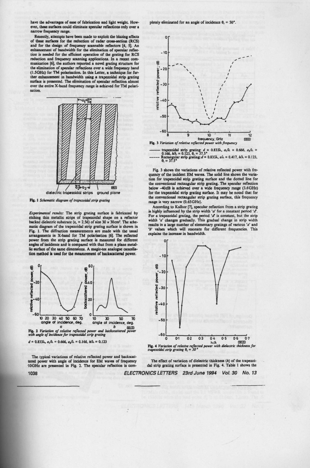**have the advantages of ease of fabrication and light weight. How**ever, these surfaces could eliminate specular reflections only over a **narrow frequency range.**

**Recently**, attempts have been made to exploit the blazing effects **of these surfaces for the reduction of radar erase-section (RCS) and for the design of frequency scannable reflectors** [**4, 51. An enhancement of bandwidth for the elimination of specular reflex tion is needed for the efficient operation of the grating for RCS reduction and frequency scanning applications**. **In a recent com**munication [6], the authors reported a novel grating structure for<br>the elimination of specular reflections over a wide frequency band<br>(1.5GHz) for TM polarisation. In this Letter, a technique for fur-<br>ther enhancement in b **surface is presented**. **The elimination of spocular reflection almost over the entire X-band frequency range is achieved for TM polarisation.**



**Fig. I Schematic diagram** of trapezoidal strip **grating**

*Experimental results:* The strip grating surface is fabricated by etching thin metallic strips of trapezoidal shape on a reflector backed dielectric substrate ( $\varepsilon$ , = 2.56) of size 30 x 30cm<sup>2</sup>. The sche**matic diagram of the trapezoidal strip grating surface is shown in Fig. 1. The diffraction measurements arc made with the usual arrangements in X-band for TM polarization** [**6). The reflected power from the strip grating surface is measured for different angles of incidence and is compared with that from a plane metallic surface of the same dimensions**. **A magic**-**tee analogue ancella-ton method is used for the measurement of backsatterd power.**



 $d = 0.833\lambda$ ,  $a_1/\lambda = 0.666$ ,  $a_2/\lambda = 0.166$ ,  $h/\lambda = 0.123$ 

**The typical variations of relative reflected power and backsat-tered power with angle of incidence for EM waves of frequency 10GHz are presented in Fig**. **2. The specula reflection is com-**

pletely eliminated for an angle of incidence  $\theta_1 = 50^\circ$ .



**trapezoidal strip grating:**  $d = 0.833\lambda$ ,  $a_i/\lambda = 0.666$ ,  $a_x/\lambda = -0.166$ ,  $h/\lambda = 0.123$ ,  $\theta_i = 37.5$ <sup>\*</sup><br>------ Rectangular strip grating:  $d = 0.833\lambda$ ,  $a\lambda = 0.417$ ,  $h/\lambda = 0.123$ ,  $\theta_i = 37.5$ \*

Fig. 3 shows the variations of relative reflected power with frequency of the incident EM waves. The solid line **shows the varia**tion for trapezoidal **strip grating** surface and the dotted fine for **the conventional rectangular strip grating** . The specular reflection below -40dB is achieved over a wide frequency **range** (3.6GHz) for the trapezoidal **strip grating surface** . It may be noted that for **the conventional rectangular** strip **grating surface**, this frequency **range** is very narrow (0.65GHz).

According to Kalhor [7], specular reflection from a strip grating<br>is highly influenced by the strip width 'a' for a constant period 'a'. For a trapezoidal grating, the period '*d*' is constant, but the strip width '*a*' changes gradually. This gradual change in strip width **results in a large number** of elementary gratings of various 'a' and **'b' values which will resonate** for different frequencies. This explains the increase in bandwidth.



**The effect of variation of dielectric thickness** (**h) of the trapezoi-dal strip grating surface is presented in Fig. 4**. **Table I shows the**

**1038 ELECTRONICS** LETTERS **23rd June 1994 Vol. 30 No. 13**